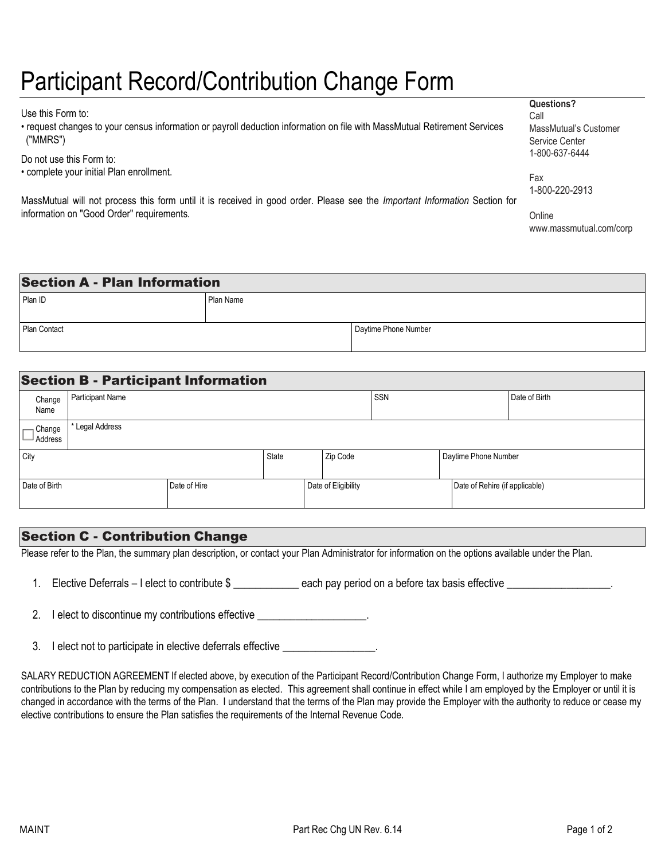# Participant Record/Contribution Change Form

Use this Form to:

• request changes to your census information or payroll deduction information on file with MassMutual Retirement Services ("MMRS")

Do not use this Form to:

• complete your initial Plan enrollment.

MassMutual will not process this form until it is received in good order. Please see the *Important Information* Section for information on "Good Order" requirements.

**Questions?**

Call MassMutual's Customer Service Center 1-800-637-6444

Fax 1-800-220-2913

**Onlin[e](http://www.massmutual.com/corp)** [www.massmutual.com/corp](http://www.massmutual.com/corp)

| <b>Section A - Plan Information</b> |           |                      |  |
|-------------------------------------|-----------|----------------------|--|
| Plan ID                             | Plan Name |                      |  |
|                                     |           |                      |  |
| Plan Contact                        |           | Daytime Phone Number |  |
|                                     |           |                      |  |

|                       | <b>Section B - Participant Information</b>      |              |              |                     |  |                      |                                |  |
|-----------------------|-------------------------------------------------|--------------|--------------|---------------------|--|----------------------|--------------------------------|--|
| Change<br>Name        | SSN<br><b>Participant Name</b><br>Date of Birth |              |              |                     |  |                      |                                |  |
| ⊣ Change<br>J Address | Legal Address                                   |              |              |                     |  |                      |                                |  |
| City                  |                                                 |              | <b>State</b> | Zip Code            |  | Daytime Phone Number |                                |  |
| Date of Birth         |                                                 | Date of Hire |              | Date of Eligibility |  |                      | Date of Rehire (if applicable) |  |

## Section C - Contribution Change

Please refer to the Plan, the summary plan description, or contact your Plan Administrator for information on the options available under the Plan.

1. Elective Deferrals – I elect to contribute \$ \_\_\_\_\_\_\_\_\_\_\_\_ each pay period on a before tax basis effective \_\_\_\_\_\_\_\_\_\_\_\_\_\_\_\_\_.

2. I elect to discontinue my contributions effective \_\_\_\_\_\_\_\_\_\_\_\_\_\_\_\_\_\_\_\_.

3. I elect not to participate in elective deferrals effective \_\_\_\_\_\_\_\_\_\_\_\_\_\_\_\_\_\_

SALARY REDUCTION AGREEMENT If elected above, by execution of the Participant Record/Contribution Change Form, I authorize my Employer to make contributions to the Plan by reducing my compensation as elected. This agreement shall continue in effect while I am employed by the Employer or until it is changed in accordance with the terms of the Plan. I understand that the terms of the Plan may provide the Employer with the authority to reduce or cease my elective contributions to ensure the Plan satisfies the requirements of the Internal Revenue Code.